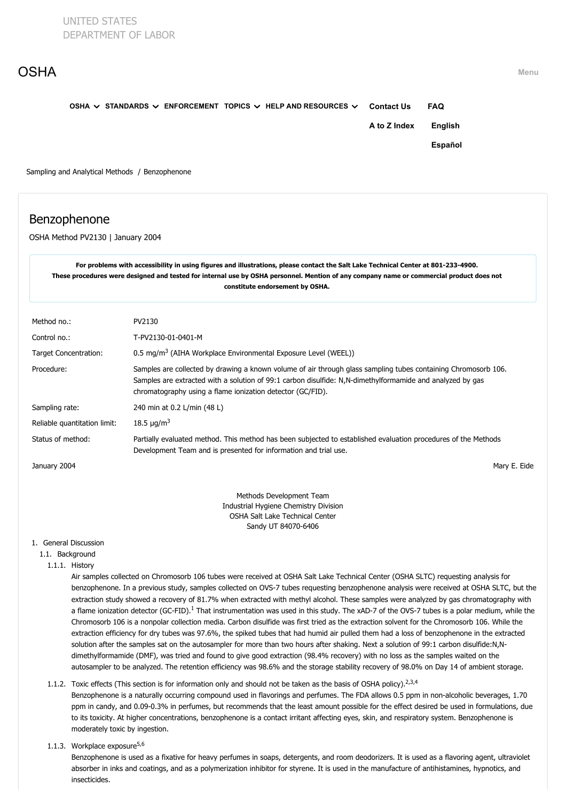| <b>OSHA</b> |                                                                                  |                   |            | Menu |
|-------------|----------------------------------------------------------------------------------|-------------------|------------|------|
|             | OSHA $\vee$ STANDARDS $\vee$ ENFORCEMENT TOPICS $\vee$ HELP AND RESOURCES $\vee$ | <b>Contact Us</b> | <b>FAQ</b> |      |
|             |                                                                                  | A to Z Index      | English    |      |
|             |                                                                                  |                   | Español    |      |
|             | Sampling and Analytical Methods / Benzophenone                                   |                   |            |      |
|             |                                                                                  |                   |            |      |

# Benzophenone

OSHA Method PV2130 | January 2004

**For problems with accessibility in using figures and illustrations, please contact the Salt Lake Technical Center at 801-233-4900. These procedures were designed and tested for internal use by OSHA personnel. Mention of any company name or commercial product does not constitute endorsement by OSHA.**

| Method no.:                  | PV2130                                                                                                                                                                                                                                                                                    |
|------------------------------|-------------------------------------------------------------------------------------------------------------------------------------------------------------------------------------------------------------------------------------------------------------------------------------------|
|                              |                                                                                                                                                                                                                                                                                           |
| Control no.:                 | T-PV2130-01-0401-M                                                                                                                                                                                                                                                                        |
| <b>Target Concentration:</b> | 0.5 mg/m <sup>3</sup> (AIHA Workplace Environmental Exposure Level (WEEL))                                                                                                                                                                                                                |
| Procedure:                   | Samples are collected by drawing a known volume of air through glass sampling tubes containing Chromosorb 106.<br>Samples are extracted with a solution of 99:1 carbon disulfide: N,N-dimethylformamide and analyzed by gas<br>chromatography using a flame ionization detector (GC/FID). |
| Sampling rate:               | 240 min at 0.2 L/min (48 L)                                                                                                                                                                                                                                                               |
| Reliable quantitation limit: | 18.5 $\mu$ g/m <sup>3</sup>                                                                                                                                                                                                                                                               |
| Status of method:            | Partially evaluated method. This method has been subjected to established evaluation procedures of the Methods<br>Development Team and is presented for information and trial use.                                                                                                        |
| January 2004                 | Mary E. Eide                                                                                                                                                                                                                                                                              |
|                              | Methods Development Team                                                                                                                                                                                                                                                                  |
|                              | Industrial Hygiona Chamistry Division                                                                                                                                                                                                                                                     |

Industrial Hygiene Chemistry Division OSHA Salt Lake Technical Center Sandy UT 84070-6406

# 1. General Discussion

## 1.1. Background

1.1.1. History

Air samples collected on Chromosorb 106 tubes were received at OSHA Salt Lake Technical Center (OSHA SLTC) requesting analysis for benzophenone. In a previous study, samples collected on OVS-7 tubes requesting benzophenone analysis were received at OSHA SLTC, but the extraction study showed a recovery of 81.7% when extracted with methyl alcohol. These samples were analyzed by gas chromatography with a flame ionization detector (GC-FID).<sup>[1](#page-6-0)</sup> That instrumentation was used in this study. The xAD-7 of the OVS-7 tubes is a polar medium, while the Chromosorb 106 is a nonpolar collection media. Carbon disulfide was first tried as the extraction solvent for the Chromosorb 106. While the extraction efficiency for dry tubes was 97.6%, the spiked tubes that had humid air pulled them had a loss of benzophenone in the extracted solution after the samples sat on the autosampler for more than two hours after shaking. Next a solution of 99:1 carbon disulfide:N,Ndimethylformamide (DMF), was tried and found to give good extraction (98.4% recovery) with no loss as the samples waited on the autosampler to be analyzed. The retention efficiency was 98.6% and the storage stability recovery of 98.0% on Day 14 of ambient storage.

# 1.1.2. Toxic effects (This section is for information only and should not be taken as the basis of OSHA policy).<sup>[2,3,4](#page-6-0)</sup> Benzophenone is a naturally occurring compound used in flavorings and perfumes. The FDA allows 0.5 ppm in non-alcoholic beverages, 1.70 ppm in candy, and 0.09-0.3% in perfumes, but recommends that the least amount possible for the effect desired be used in formulations, due to its toxicity. At higher concentrations, benzophenone is a contact irritant affecting eyes, skin, and respiratory system. Benzophenone is moderately toxic by ingestion.

1.1.3. Workplace exposure<sup>[5,6](#page-6-0)</sup>

Benzophenone is used as a fixative for heavy perfumes in soaps, detergents, and room deodorizers. It is used as a flavoring agent, ultraviolet absorber in inks and coatings, and as a polymerization inhibitor for styrene. It is used in the manufacture of antihistamines, hypnotics, and insecticides.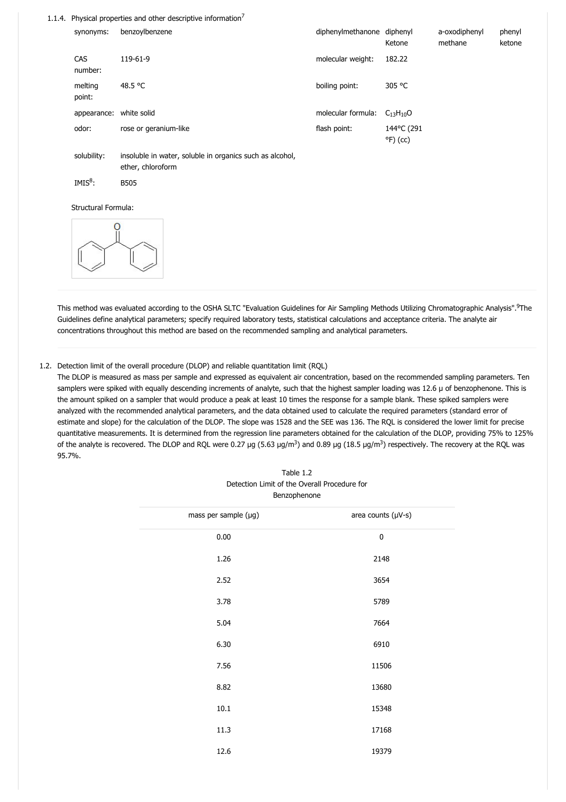#### 1.1.4. Physical properties and other descriptive information $^7$  $^7$

| synonyms:         | benzoylbenzene        | diphenylmethanone diphenyl | Ketone                           | a-oxodiphenyl<br>methane | phenyl<br>ketone |
|-------------------|-----------------------|----------------------------|----------------------------------|--------------------------|------------------|
| CAS<br>number:    | 119-61-9              | molecular weight:          | 182.22                           |                          |                  |
| melting<br>point: | 48.5 °C               | boiling point:             | 305 °C                           |                          |                  |
| appearance:       | white solid           | molecular formula:         | $C_{13}H_{10}O$                  |                          |                  |
| odor:             | rose or geranium-like | flash point:               | 144°C (291<br>$^{\circ}$ F) (cc) |                          |                  |
|                   |                       |                            |                                  |                          |                  |

solubility: insoluble in water, soluble in organics such as alcohol, ether, chloroform

IMIS<sup>[8](#page-6-0)</sup>: B505

Structural Formula:



This method was evaluated according to the OSHA SLTC "Evaluation Guidelines for Air Sampling Methods Utilizing Chromatographic Analysis". The [9](#page-6-0) Guidelines define analytical parameters; specify required laboratory tests, statistical calculations and acceptance criteria. The analyte air concentrations throughout this method are based on the recommended sampling and analytical parameters.

#### 1.2. Detection limit of the overall procedure (DLOP) and reliable quantitation limit (RQL)

The DLOP is measured as mass per sample and expressed as equivalent air concentration, based on the recommended sampling parameters. Ten samplers were spiked with equally descending increments of analyte, such that the highest sampler loading was 12.6 µ of benzophenone. This is the amount spiked on a sampler that would produce a peak at least 10 times the response for a sample blank. These spiked samplers were analyzed with the recommended analytical parameters, and the data obtained used to calculate the required parameters (standard error of estimate and slope) for the calculation of the DLOP. The slope was 1528 and the SEE was 136. The RQL is considered the lower limit for precise quantitative measurements. It is determined from the regression line parameters obtained for the calculation of the DLOP, providing 75% to 125% of the analyte is recovered. The DLOP and RQL were 0.27  $\mu$ g (5.63  $\mu$ g/m $^3$ ) and 0.89  $\mu$ g (18.5  $\mu$ g/m $^3$ ) respectively. The recovery at the RQL was 95.7%.

Table 1.2

| Detection Limit of the Overall Procedure for<br>Benzophenone |                    |  |  |  |
|--------------------------------------------------------------|--------------------|--|--|--|
| mass per sample (µg)                                         | area counts (µV-s) |  |  |  |
| 0.00                                                         | 0                  |  |  |  |
| 1.26                                                         | 2148               |  |  |  |
| 2.52                                                         | 3654               |  |  |  |
| 3.78                                                         | 5789               |  |  |  |
| 5.04                                                         | 7664               |  |  |  |
| 6.30                                                         | 6910               |  |  |  |
| 7.56                                                         | 11506              |  |  |  |
| 8.82                                                         | 13680              |  |  |  |
| 10.1                                                         | 15348              |  |  |  |
| 11.3                                                         | 17168              |  |  |  |
| 12.6                                                         | 19379              |  |  |  |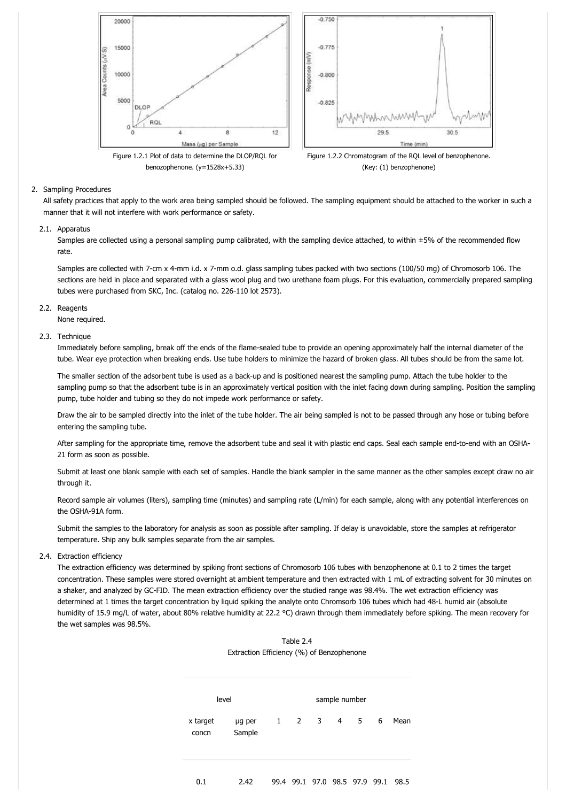

## 2. Sampling Procedures

All safety practices that apply to the work area being sampled should be followed. The sampling equipment should be attached to the worker in such a manner that it will not interfere with work performance or safety.

### 2.1. Apparatus

Samples are collected using a personal sampling pump calibrated, with the sampling device attached, to within ±5% of the recommended flow rate.

Samples are collected with 7-cm x 4-mm i.d. x 7-mm o.d. glass sampling tubes packed with two sections (100/50 mg) of Chromosorb 106. The sections are held in place and separated with a glass wool plug and two urethane foam plugs. For this evaluation, commercially prepared sampling tubes were purchased from SKC, Inc. (catalog no. 226-110 lot 2573).

#### 2.2. Reagents

None required.

#### 2.3. Technique

Immediately before sampling, break off the ends of the flame-sealed tube to provide an opening approximately half the internal diameter of the tube. Wear eye protection when breaking ends. Use tube holders to minimize the hazard of broken glass. All tubes should be from the same lot.

The smaller section of the adsorbent tube is used as a back-up and is positioned nearest the sampling pump. Attach the tube holder to the sampling pump so that the adsorbent tube is in an approximately vertical position with the inlet facing down during sampling. Position the sampling pump, tube holder and tubing so they do not impede work performance or safety.

Draw the air to be sampled directly into the inlet of the tube holder. The air being sampled is not to be passed through any hose or tubing before entering the sampling tube.

After sampling for the appropriate time, remove the adsorbent tube and seal it with plastic end caps. Seal each sample end-to-end with an OSHA-21 form as soon as possible.

Submit at least one blank sample with each set of samples. Handle the blank sampler in the same manner as the other samples except draw no air through it.

Record sample air volumes (liters), sampling time (minutes) and sampling rate (L/min) for each sample, along with any potential interferences on the OSHA-91A form.

Submit the samples to the laboratory for analysis as soon as possible after sampling. If delay is unavoidable, store the samples at refrigerator temperature. Ship any bulk samples separate from the air samples.

### 2.4. Extraction efficiency

The extraction efficiency was determined by spiking front sections of Chromosorb 106 tubes with benzophenone at 0.1 to 2 times the target concentration. These samples were stored overnight at ambient temperature and then extracted with 1 mL of extracting solvent for 30 minutes on a shaker, and analyzed by GC-FID. The mean extraction efficiency over the studied range was 98.4%. The wet extraction efficiency was determined at 1 times the target concentration by liquid spiking the analyte onto Chromsorb 106 tubes which had 48-L humid air (absolute humidity of 15.9 mg/L of water, about 80% relative humidity at 22.2 °C) drawn through them immediately before spiking. The mean recovery for the wet samples was 98.5%.



| Table 2.4                                 |
|-------------------------------------------|
| Extraction Efficiency (%) of Benzophenone |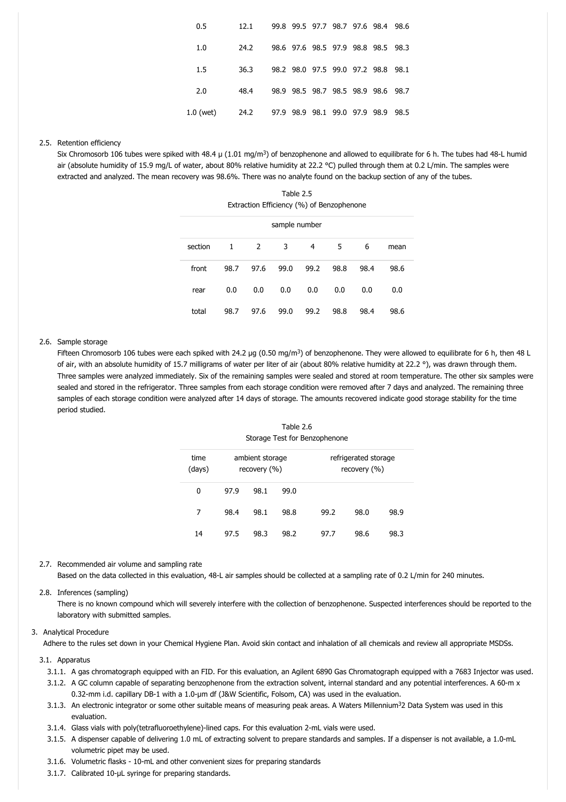| 0.5       | 12.1 |  |  | 99.8 99.5 97.7 98.7 97.6 98.4 98.6 |  |
|-----------|------|--|--|------------------------------------|--|
| 1.0       | 24.2 |  |  | 98.6 97.6 98.5 97.9 98.8 98.5 98.3 |  |
| 1.5       | 36.3 |  |  | 98.2 98.0 97.5 99.0 97.2 98.8 98.1 |  |
| 2.0       | 48.4 |  |  | 98.9 98.5 98.7 98.5 98.9 98.6 98.7 |  |
| 1.0 (wet) | 24.2 |  |  | 97.9 98.9 98.1 99.0 97.9 98.9 98.5 |  |

## 2.5. Retention efficiency

Six Chromosorb 106 tubes were spiked with 48.4  $\mu$  (1.01 mg/m<sup>3</sup>) of benzophenone and allowed to equilibrate for 6 h. The tubes had 48-L humid air (absolute humidity of 15.9 mg/L of water, about 80% relative humidity at 22.2 °C) pulled through them at 0.2 L/min. The samples were extracted and analyzed. The mean recovery was 98.6%. There was no analyte found on the backup section of any of the tubes.

Table 2.5 Extraction Efficiency (%) of Benzophenone

| sample number |              |      |      |      |      |      |      |  |
|---------------|--------------|------|------|------|------|------|------|--|
| section       | $\mathbf{1}$ | 2    | 3    | 4    | 5    | 6    | mean |  |
| front         | 98.7         | 97.6 | 99.0 | 99.2 | 98.8 | 98.4 | 98.6 |  |
| rear          | 0.0          | 0.0  | 0.0  | 0.0  | 0.0  | 0.0  | 0.0  |  |
| total         | 98.7         | 97.6 | 99.0 | 99.2 | 98.8 | 98.4 | 98.6 |  |

### 2.6. Sample storage

Fifteen Chromosorb 106 tubes were each spiked with 24.2 µg (0.50 mg/m<sup>3</sup>) of benzophenone. They were allowed to equilibrate for 6 h, then 48 L of air, with an absolute humidity of 15.7 milligrams of water per liter of air (about 80% relative humidity at 22.2 °), was drawn through them. Three samples were analyzed immediately. Six of the remaining samples were sealed and stored at room temperature. The other six samples were sealed and stored in the refrigerator. Three samples from each storage condition were removed after 7 days and analyzed. The remaining three samples of each storage condition were analyzed after 14 days of storage. The amounts recovered indicate good storage stability for the time period studied.

# Table 2.6 Storage Test for Benzophenone

| time<br>(days) |      | ambient storage<br>recovery (%) |      |      | refrigerated storage<br>recovery (%) |      |
|----------------|------|---------------------------------|------|------|--------------------------------------|------|
| 0              | 97.9 | 98.1                            | 99.0 |      |                                      |      |
| 7              | 98.4 | 98.1                            | 98.8 | 99.2 | 98.0                                 | 98.9 |
| 14             | 97.5 | 98.3                            | 98.2 | 97.7 | 98.6                                 | 98.3 |

#### 2.7. Recommended air volume and sampling rate

Based on the data collected in this evaluation, 48-L air samples should be collected at a sampling rate of 0.2 L/min for 240 minutes.

## 2.8. Inferences (sampling)

There is no known compound which will severely interfere with the collection of benzophenone. Suspected interferences should be reported to the laboratory with submitted samples.

#### 3. Analytical Procedure

Adhere to the rules set down in your Chemical Hygiene Plan. Avoid skin contact and inhalation of all chemicals and review all appropriate MSDSs.

## 3.1. Apparatus

- 3.1.1. A gas chromatograph equipped with an FID. For this evaluation, an Agilent 6890 Gas Chromatograph equipped with a 7683 Injector was used.
- 3.1.2. A GC column capable of separating benzophenone from the extraction solvent, internal standard and any potential interferences. A 60-m x 0.32-mm i.d. capillary DB-1 with a 1.0-µm df (J&W Scientific, Folsom, CA) was used in the evaluation.
- 3.1.3. An electronic integrator or some other suitable means of measuring peak areas. A Waters Millennium<sup>3</sup>2 Data System was used in this evaluation.
- 3.1.4. Glass vials with poly(tetrafluoroethylene)-lined caps. For this evaluation 2-mL vials were used.
- 3.1.5. A dispenser capable of delivering 1.0 mL of extracting solvent to prepare standards and samples. If a dispenser is not available, a 1.0-mL volumetric pipet may be used.
- 3.1.6. Volumetric flasks 10-mL and other convenient sizes for preparing standards
- 3.1.7. Calibrated 10-µL syringe for preparing standards.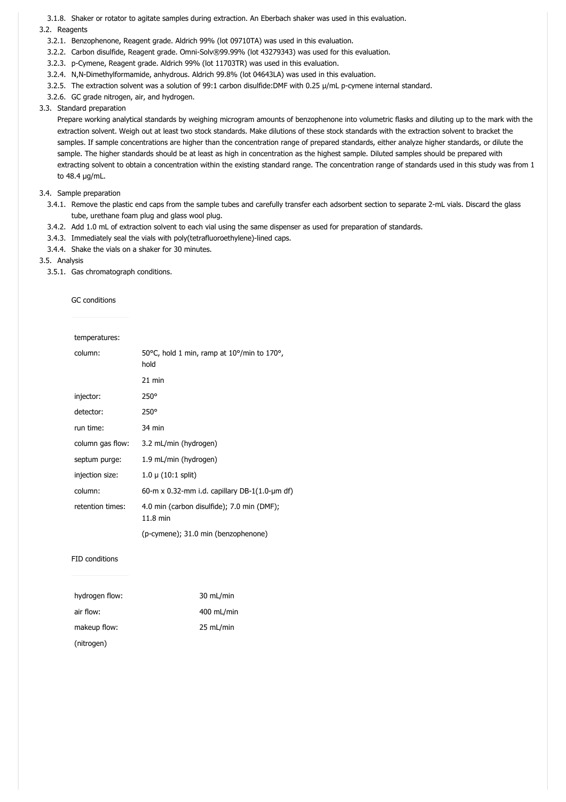3.1.8. Shaker or rotator to agitate samples during extraction. An Eberbach shaker was used in this evaluation.

## 3.2. Reagents

- 3.2.1. Benzophenone, Reagent grade. Aldrich 99% (lot 09710TA) was used in this evaluation.
- 3.2.2. Carbon disulfide, Reagent grade. Omni-Solv®99.99% (lot 43279343) was used for this evaluation.
- 3.2.3. p-Cymene, Reagent grade. Aldrich 99% (lot 11703TR) was used in this evaluation.
- 3.2.4. N,N-Dimethylformamide, anhydrous. Aldrich 99.8% (lot 04643LA) was used in this evaluation.
- 3.2.5. The extraction solvent was a solution of 99:1 carbon disulfide:DMF with 0.25 µ/mL p-cymene internal standard.
- 3.2.6. GC grade nitrogen, air, and hydrogen.

## 3.3. Standard preparation

Prepare working analytical standards by weighing microgram amounts of benzophenone into volumetric flasks and diluting up to the mark with the extraction solvent. Weigh out at least two stock standards. Make dilutions of these stock standards with the extraction solvent to bracket the samples. If sample concentrations are higher than the concentration range of prepared standards, either analyze higher standards, or dilute the sample. The higher standards should be at least as high in concentration as the highest sample. Diluted samples should be prepared with extracting solvent to obtain a concentration within the existing standard range. The concentration range of standards used in this study was from 1 to 48.4 µg/mL.

# 3.4. Sample preparation

- 3.4.1. Remove the plastic end caps from the sample tubes and carefully transfer each adsorbent section to separate 2-mL vials. Discard the glass tube, urethane foam plug and glass wool plug.
- 3.4.2. Add 1.0 mL of extraction solvent to each vial using the same dispenser as used for preparation of standards.
- 3.4.3. Immediately seal the vials with poly(tetrafluoroethylene)-lined caps.
- 3.4.4. Shake the vials on a shaker for 30 minutes.

## 3.5. Analysis

3.5.1. Gas chromatograph conditions.

## GC conditions

| temperatures:    |                                                                                  |
|------------------|----------------------------------------------------------------------------------|
| column:          | 50 $\degree$ C, hold 1 min, ramp at 10 $\degree$ /min to 170 $\degree$ ,<br>hold |
|                  | $21$ min                                                                         |
| injector:        | $250^\circ$                                                                      |
| detector:        | $250^\circ$                                                                      |
| run time:        | 34 min                                                                           |
| column gas flow: | 3.2 mL/min (hydrogen)                                                            |
| septum purge:    | 1.9 mL/min (hydrogen)                                                            |
| injection size:  | $1.0 \mu (10:1$ split)                                                           |
| column:          | 60-m x 0.32-mm i.d. capillary DB-1(1.0-µm df)                                    |
| retention times: | 4.0 min (carbon disulfide); 7.0 min (DMF);<br>11.8 min                           |
|                  | (p-cymene); 31.0 min (benzophenone)                                              |

#### FID conditions

| hydrogen flow: | 30 mL/min  |
|----------------|------------|
| air flow:      | 400 mL/min |
| makeup flow:   | 25 mL/min  |
| (nitrogen)     |            |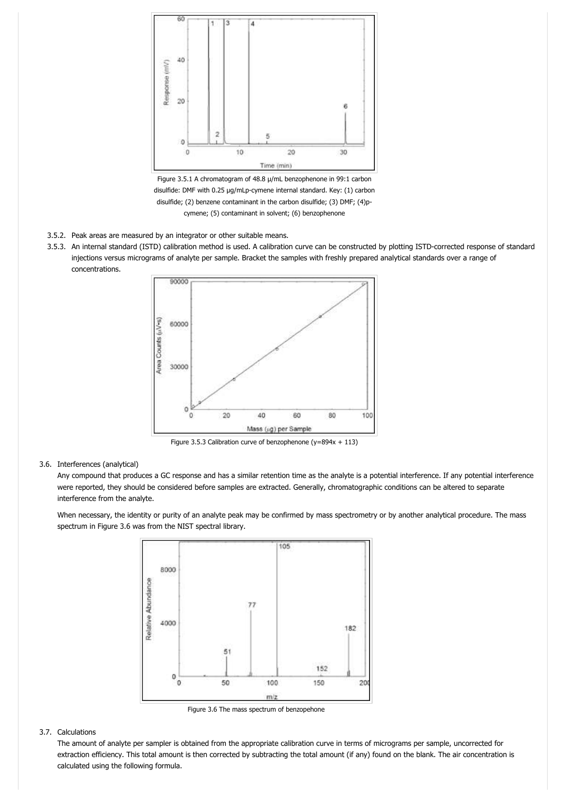

Figure 3.5.1 A chromatogram of 48.8 µ/mL benzophenone in 99:1 carbon disulfide: DMF with 0.25 µg/mLp-cymene internal standard. Key: (1) carbon disulfide; (2) benzene contaminant in the carbon disulfide; (3) DMF; (4)pcymene; (5) contaminant in solvent; (6) benzophenone

- 3.5.2. Peak areas are measured by an integrator or other suitable means.
- 3.5.3. An internal standard (ISTD) calibration method is used. A calibration curve can be constructed by plotting ISTD-corrected response of standard injections versus micrograms of analyte per sample. Bracket the samples with freshly prepared analytical standards over a range of concentrations.



Figure 3.5.3 Calibration curve of benzophenone (y=894x + 113)

## 3.6. Interferences (analytical)

Any compound that produces a GC response and has a similar retention time as the analyte is a potential interference. If any potential interference were reported, they should be considered before samples are extracted. Generally, chromatographic conditions can be altered to separate interference from the analyte.

When necessary, the identity or purity of an analyte peak may be confirmed by mass spectrometry or by another analytical procedure. The mass spectrum in Figure 3.6 was from the NIST spectral library.



Figure 3.6 The mass spectrum of benzopehone

#### 3.7. Calculations

The amount of analyte per sampler is obtained from the appropriate calibration curve in terms of micrograms per sample, uncorrected for extraction efficiency. This total amount is then corrected by subtracting the total amount (if any) found on the blank. The air concentration is calculated using the following formula.